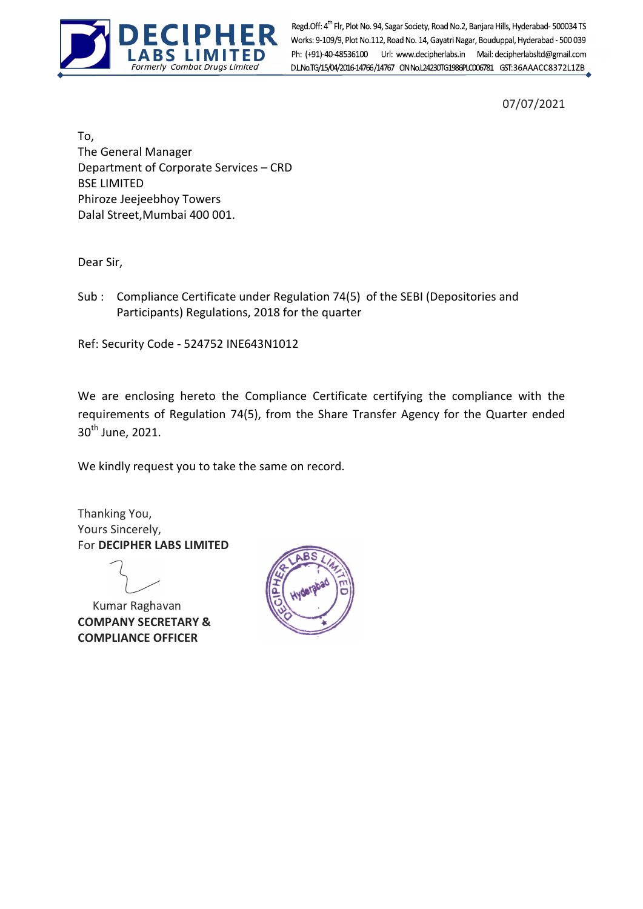

Formerly Combat Drugs Limited Regd.Off: 4<sup>th</sup> Flr, Plot No. 94, Sagar Society, Road No.2, Banjara Hills, Hyderabad- 500034 TS<br>Works: 9-109/9, Plot No.112, Road No. 14, Gayatri Nagar, Bouduppal, Hyderabad - 500 039 Ph: (+91)-40-48536100 Url: www.decipherlabs.in Mail: decipherlabsltd@gmail.com

07/07/2021

To, The General Manager Department of Corporate Services – CRD BSE LIMITED Phiroze Jeejeebhoy Towers Dalal Street,Mumbai 400 001.

Dear Sir,

Sub : Compliance Certificate under Regulation 74(5) of the SEBI (Depositories and Participants) Regulations, 2018 for the quarter

Ref: Security Code - 524752 INE643N1012

We are enclosing hereto the Compliance Certificate certifying the compliance with the requirements of Regulation 74(5), from the Share Transfer Agency for the Quarter ended 30<sup>th</sup> June, 2021.

We kindly request you to take the same on record.

Thanking You, Yours Sincerely, For DECIPHER LABS LIMITED

 Kumar Raghavan COMPANY SECRETARY & COMPLIANCE OFFICER